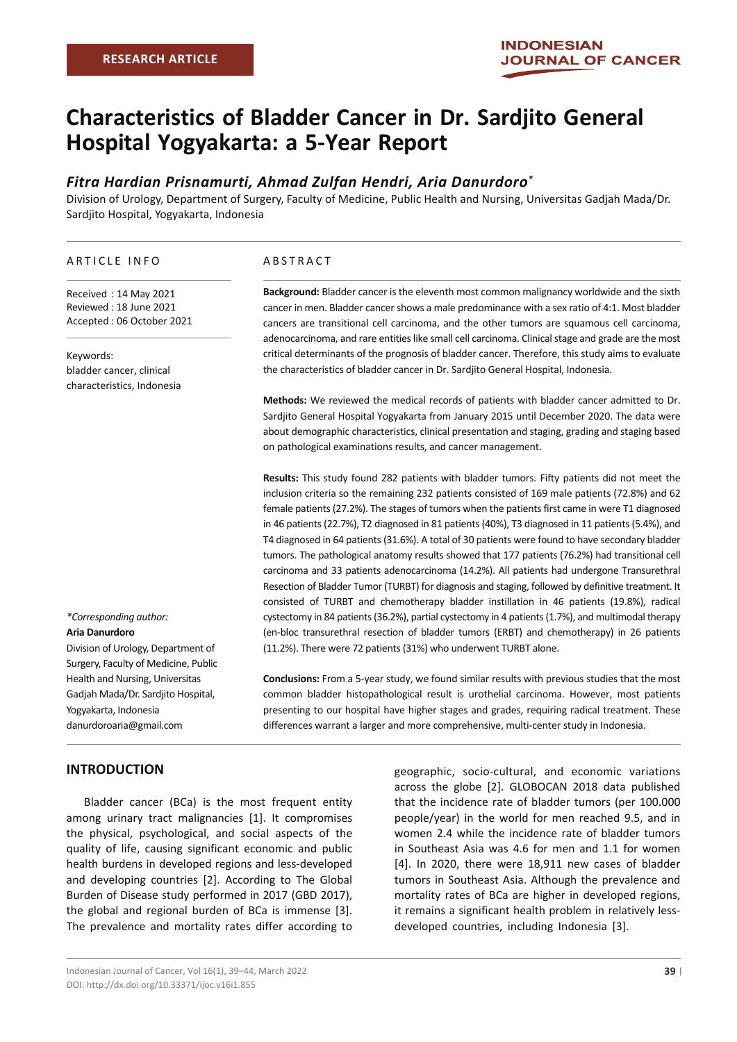# **Characteristics of Bladder Cancer in Dr. Sardjito General Hospital Yogyakarta: a 5-Year Report**

# *Fitra Hardian Prisnamurti, Ahmad Zulfan Hendri, Aria Danurdoro\**

Division of Urology, Department of Surgery, Faculty of Medicine, Public Health and Nursing, Universitas Gadjah Mada/Dr. Sardjito Hospital, Yogyakarta, Indonesia

#### ARTICLE INFO

Received : 14 May 2021 Reviewed : 18 June 2021 Accepted : 06 October 2021

Keywords: bladder cancer, clinical characteristics, Indonesia

ABSTRACT

**Background:** Bladder cancer is the eleventh most common malignancy worldwide and the sixth cancer in men. Bladder cancer shows a male predominance with a sex ratio of 4:1. Most bladder cancers are transitional cell carcinoma, and the other tumors are squamous cell carcinoma, adenocarcinoma, and rare entities like small cell carcinoma. Clinical stage and grade are the most critical determinants of the prognosis of bladder cancer. Therefore, this study aims to evaluate the characteristics of bladder cancer in Dr. Sardjito General Hospital, Indonesia.

**Methods:** We reviewed the medical records of patients with bladder cancer admitted to Dr. Sardjito General Hospital Yogyakarta from January 2015 until December 2020. The data were about demographic characteristics, clinical presentation and staging, grading and staging based on pathological examinations results, and cancer management.

**Results:** This study found 282 patients with bladder tumors. Fifty patients did not meet the inclusion criteria so the remaining 232 patients consisted of 169 male patients (72.8%) and 62 female patients (27.2%). The stages of tumors when the patients first came in were T1 diagnosed in 46 patients (22.7%), T2 diagnosed in 81 patients (40%), T3 diagnosed in 11 patients (5.4%), and T4 diagnosed in 64 patients (31.6%). A total of 30 patients were found to have secondary bladder tumors. The pathological anatomy results showed that 177 patients (76.2%) had transitional cell carcinoma and 33 patients adenocarcinoma (14.2%). All patients had undergone Transurethral Resection of Bladder Tumor (TURBT) for diagnosis and staging, followed by definitive treatment. It consisted of TURBT and chemotherapy bladder instillation in 46 patients (19.8%), radical cystectomy in 84 patients (36.2%), partial cystectomy in 4 patients (1.7%), and multimodal therapy (en-bloc transurethral resection of bladder tumors (ERBT) and chemotherapy) in 26 patients (11.2%). There were 72 patients (31%) who underwent TURBT alone.

**Conclusions:** From a 5-year study, we found similar results with previous studies that the most common bladder histopathological result is urothelial carcinoma. However, most patients presenting to our hospital have higher stages and grades, requiring radical treatment. These differences warrant a larger and more comprehensive, multi-center study in Indonesia.

*\*Corresponding author:* **Aria Danurdoro**  Division of Urology, Department of Surgery, Faculty of Medicine, Public

Health and Nursing, Universitas Gadjah Mada/Dr. Sardjito Hospital, Yogyakarta, Indonesia danurdoroaria@gmail.com

# **INTRODUCTION**

Bladder cancer (BCa) is the most frequent entity among urinary tract malignancies [1]. It compromises the physical, psychological, and social aspects of the quality of life, causing significant economic and public health burdens in developed regions and less-developed and developing countries [2]. According to The Global Burden of Disease study performed in 2017 (GBD 2017), the global and regional burden of BCa is immense [3]. The prevalence and mortality rates differ according to

geographic, socio-cultural, and economic variations across the globe [2]. GLOBOCAN 2018 data published that the incidence rate of bladder tumors (per 100.000 people/year) in the world for men reached 9.5, and in women 2.4 while the incidence rate of bladder tumors in Southeast Asia was 4.6 for men and 1.1 for women [4]. In 2020, there were 18,911 new cases of bladder tumors in Southeast Asia. Although the prevalence and mortality rates of BCa are higher in developed regions, it remains a significant health problem in relatively lessdeveloped countries, including Indonesia [3].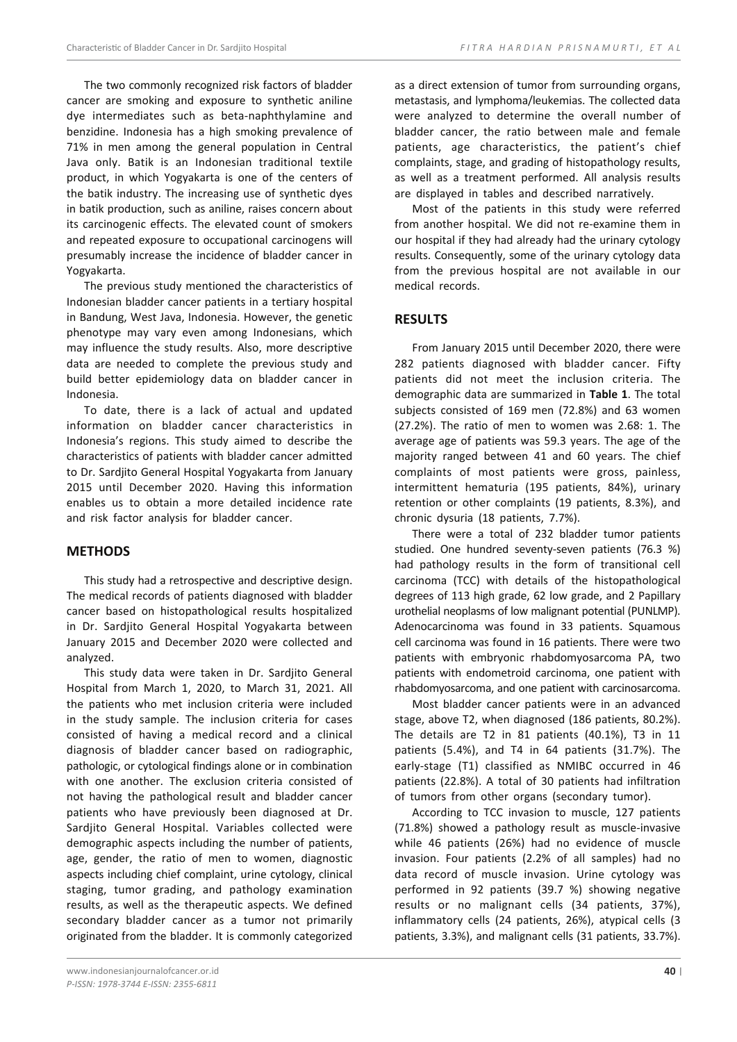The two commonly recognized risk factors of bladder cancer are smoking and exposure to synthetic aniline dye intermediates such as beta-naphthylamine and benzidine. Indonesia has a high smoking prevalence of 71% in men among the general population in Central Java only. Batik is an Indonesian traditional textile product, in which Yogyakarta is one of the centers of the batik industry. The increasing use of synthetic dyes in batik production, such as aniline, raises concern about its carcinogenic effects. The elevated count of smokers and repeated exposure to occupational carcinogens will presumably increase the incidence of bladder cancer in Yogyakarta.

The previous study mentioned the characteristics of Indonesian bladder cancer patients in a tertiary hospital in Bandung, West Java, Indonesia. However, the genetic phenotype may vary even among Indonesians, which may influence the study results. Also, more descriptive data are needed to complete the previous study and build better epidemiology data on bladder cancer in Indonesia.

To date, there is a lack of actual and updated information on bladder cancer characteristics in Indonesia's regions. This study aimed to describe the characteristics of patients with bladder cancer admitted to Dr. Sardjito General Hospital Yogyakarta from January 2015 until December 2020. Having this information enables us to obtain a more detailed incidence rate and risk factor analysis for bladder cancer.

# **METHODS**

This study had a retrospective and descriptive design. The medical records of patients diagnosed with bladder cancer based on histopathological results hospitalized in Dr. Sardjito General Hospital Yogyakarta between January 2015 and December 2020 were collected and analyzed.

This study data were taken in Dr. Sardjito General Hospital from March 1, 2020, to March 31, 2021. All the patients who met inclusion criteria were included in the study sample. The inclusion criteria for cases consisted of having a medical record and a clinical diagnosis of bladder cancer based on radiographic, pathologic, or cytological findings alone or in combination with one another. The exclusion criteria consisted of not having the pathological result and bladder cancer patients who have previously been diagnosed at Dr. Sardjito General Hospital. Variables collected were demographic aspects including the number of patients, age, gender, the ratio of men to women, diagnostic aspects including chief complaint, urine cytology, clinical staging, tumor grading, and pathology examination results, as well as the therapeutic aspects. We defined secondary bladder cancer as a tumor not primarily originated from the bladder. It is commonly categorized

as a direct extension of tumor from surrounding organs, metastasis, and lymphoma/leukemias. The collected data were analyzed to determine the overall number of bladder cancer, the ratio between male and female patients, age characteristics, the patient's chief complaints, stage, and grading of histopathology results, as well as a treatment performed. All analysis results are displayed in tables and described narratively.

Most of the patients in this study were referred from another hospital. We did not re-examine them in our hospital if they had already had the urinary cytology results. Consequently, some of the urinary cytology data from the previous hospital are not available in our medical records.

# **RESULTS**

From January 2015 until December 2020, there were 282 patients diagnosed with bladder cancer. Fifty patients did not meet the inclusion criteria. The demographic data are summarized in **Table 1**. The total subjects consisted of 169 men (72.8%) and 63 women (27.2%). The ratio of men to women was 2.68: 1. The average age of patients was 59.3 years. The age of the majority ranged between 41 and 60 years. The chief complaints of most patients were gross, painless, intermittent hematuria (195 patients, 84%), urinary retention or other complaints (19 patients, 8.3%), and chronic dysuria (18 patients, 7.7%).

There were a total of 232 bladder tumor patients studied. One hundred seventy-seven patients (76.3 %) had pathology results in the form of transitional cell carcinoma (TCC) with details of the histopathological degrees of 113 high grade, 62 low grade, and 2 Papillary urothelial neoplasms of low malignant potential (PUNLMP). Adenocarcinoma was found in 33 patients. Squamous cell carcinoma was found in 16 patients. There were two patients with embryonic rhabdomyosarcoma PA, two patients with endometroid carcinoma, one patient with rhabdomyosarcoma, and one patient with carcinosarcoma.

Most bladder cancer patients were in an advanced stage, above T2, when diagnosed (186 patients, 80.2%). The details are T2 in 81 patients (40.1%), T3 in 11 patients (5.4%), and T4 in 64 patients (31.7%). The early-stage (T1) classified as NMIBC occurred in 46 patients (22.8%). A total of 30 patients had infiltration of tumors from other organs (secondary tumor).

According to TCC invasion to muscle, 127 patients (71.8%) showed a pathology result as muscle-invasive while 46 patients (26%) had no evidence of muscle invasion. Four patients (2.2% of all samples) had no data record of muscle invasion. Urine cytology was performed in 92 patients (39.7 %) showing negative results or no malignant cells (34 patients, 37%), inflammatory cells (24 patients, 26%), atypical cells (3 patients, 3.3%), and malignant cells (31 patients, 33.7%).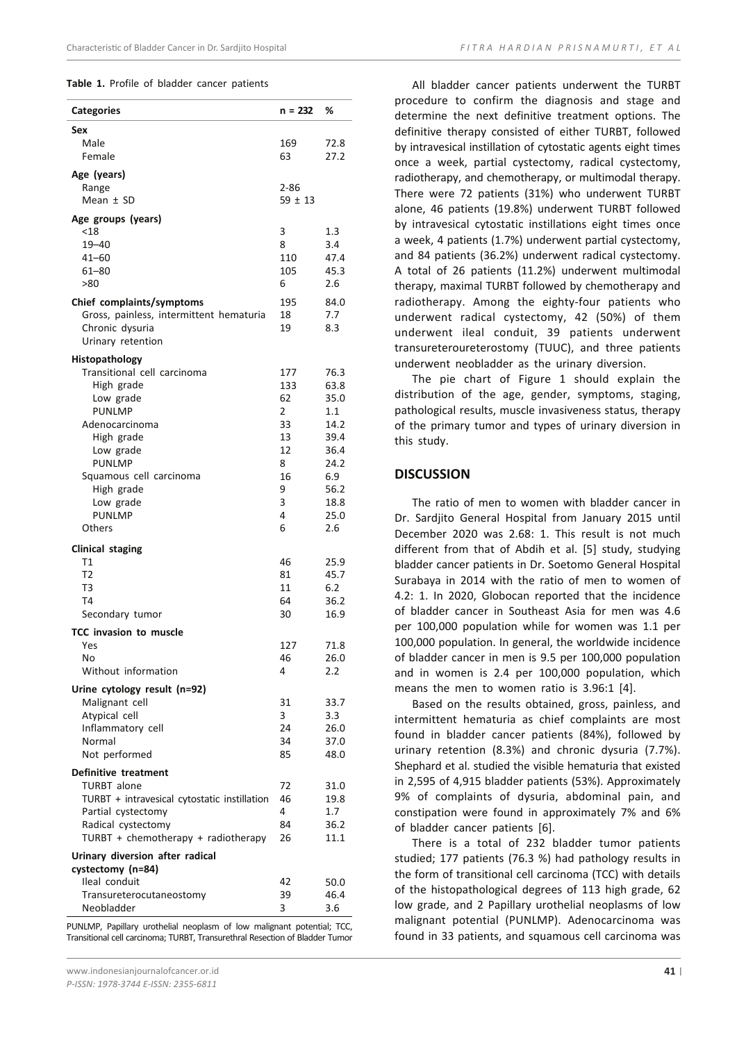#### **Table 1.** Profile of bladder cancer patients

| <b>Categories</b>                                                  | $n = 232$               | ℅            |
|--------------------------------------------------------------------|-------------------------|--------------|
| Sex                                                                |                         |              |
| Male                                                               | 169                     | 72.8         |
| Female                                                             | 63                      | 27.2         |
| Age (years)                                                        |                         |              |
| Range<br>Mean $±$ SD                                               | $2 - 86$<br>$59 \pm 13$ |              |
|                                                                    |                         |              |
| Age groups (years)<br>$<$ 18                                       | 3                       | 1.3          |
| $19 - 40$                                                          | 8                       | 3.4          |
| 41-60                                                              | 110                     | 47.4         |
| $61 - 80$                                                          | 105                     | 45.3         |
| >80                                                                | 6                       | 2.6          |
| Chief complaints/symptoms                                          | 195                     | 84.0         |
| Gross, painless, intermittent hematuria                            | 18                      | 7.7          |
| Chronic dysuria<br>Urinary retention                               | 19                      | 8.3          |
|                                                                    |                         |              |
| Histopathology<br>Transitional cell carcinoma                      | 177                     | 76.3         |
| High grade                                                         | 133                     | 63.8         |
| Low grade                                                          | 62                      | 35.0         |
| <b>PUNLMP</b>                                                      | $\overline{2}$          | 1.1          |
| Adenocarcinoma                                                     | 33                      | 14.2         |
| High grade<br>Low grade                                            | 13<br>12                | 39.4<br>36.4 |
| <b>PUNLMP</b>                                                      | 8                       | 24.2         |
| Squamous cell carcinoma                                            | 16                      | 6.9          |
| High grade                                                         | 9                       | 56.2         |
| Low grade                                                          | 3                       | 18.8         |
| <b>PUNLMP</b><br>Others                                            | 4<br>6                  | 25.0<br>2.6  |
|                                                                    |                         |              |
| <b>Clinical staging</b><br>T1                                      | 46                      | 25.9         |
| T2                                                                 | 81                      | 45.7         |
| T3                                                                 | 11                      | 6.2          |
| T4                                                                 | 64                      | 36.2         |
| Secondary tumor                                                    | 30                      | 16.9         |
| TCC invasion to muscle                                             |                         |              |
| Yes                                                                | 127                     | 71.8         |
| No<br>Without information                                          | 46<br>4                 | 26.0<br>2.2  |
|                                                                    |                         |              |
| Urine cytology result (n=92)<br>Malignant cell                     | 31                      | 33.7         |
| Atypical cell                                                      | 3                       | 3.3          |
| Inflammatory cell                                                  | 24                      | 26.0         |
| Normal                                                             | 34                      | 37.0         |
| Not performed                                                      | 85                      | 48.0         |
| <b>Definitive treatment</b>                                        |                         |              |
| TURBT alone                                                        | 72                      | 31.0         |
| TURBT + intravesical cytostatic instillation<br>Partial cystectomy | 46<br>4                 | 19.8<br>1.7  |
| Radical cystectomy                                                 | 84                      | 36.2         |
| TURBT + chemotherapy + radiotherapy                                | 26                      | 11.1         |
| Urinary diversion after radical                                    |                         |              |
| cystectomy (n=84)                                                  |                         |              |
| Ileal conduit                                                      | 42                      | 50.0         |
| Transureterocutaneostomy                                           | 39                      | 46.4         |
| Neobladder                                                         | 3                       | 3.6          |

PUNLMP, Papillary urothelial neoplasm of low malignant potential; TCC, Transitional cell carcinoma; TURBT, Transurethral Resection of Bladder Tumor

All bladder cancer patients underwent the TURBT procedure to confirm the diagnosis and stage and determine the next definitive treatment options. The definitive therapy consisted of either TURBT, followed by intravesical instillation of cytostatic agents eight times once a week, partial cystectomy, radical cystectomy, radiotherapy, and chemotherapy, or multimodal therapy. There were 72 patients (31%) who underwent TURBT alone, 46 patients (19.8%) underwent TURBT followed by intravesical cytostatic instillations eight times once a week, 4 patients (1.7%) underwent partial cystectomy, and 84 patients (36.2%) underwent radical cystectomy. A total of 26 patients (11.2%) underwent multimodal therapy, maximal TURBT followed by chemotherapy and radiotherapy. Among the eighty-four patients who underwent radical cystectomy, 42 (50%) of them underwent ileal conduit, 39 patients underwent transureteroureterostomy (TUUC), and three patients underwent neobladder as the urinary diversion.

The pie chart of Figure 1 should explain the distribution of the age, gender, symptoms, staging, pathological results, muscle invasiveness status, therapy of the primary tumor and types of urinary diversion in this study.

#### **DISCUSSION**

The ratio of men to women with bladder cancer in Dr. Sardjito General Hospital from January 2015 until December 2020 was 2.68: 1. This result is not much different from that of Abdih et al. [5] study, studying bladder cancer patients in Dr. Soetomo General Hospital Surabaya in 2014 with the ratio of men to women of 4.2: 1. In 2020, Globocan reported that the incidence of bladder cancer in Southeast Asia for men was 4.6 per 100,000 population while for women was 1.1 per 100,000 population. In general, the worldwide incidence of bladder cancer in men is 9.5 per 100,000 population and in women is 2.4 per 100,000 population, which means the men to women ratio is 3.96:1 [4].

Based on the results obtained, gross, painless, and intermittent hematuria as chief complaints are most found in bladder cancer patients (84%), followed by urinary retention (8.3%) and chronic dysuria (7.7%). Shephard et al. studied the visible hematuria that existed in 2,595 of 4,915 bladder patients (53%). Approximately 9% of complaints of dysuria, abdominal pain, and constipation were found in approximately 7% and 6% of bladder cancer patients [6].

There is a total of 232 bladder tumor patients studied; 177 patients (76.3 %) had pathology results in the form of transitional cell carcinoma (TCC) with details of the histopathological degrees of 113 high grade, 62 low grade, and 2 Papillary urothelial neoplasms of low malignant potential (PUNLMP). Adenocarcinoma was found in 33 patients, and squamous cell carcinoma was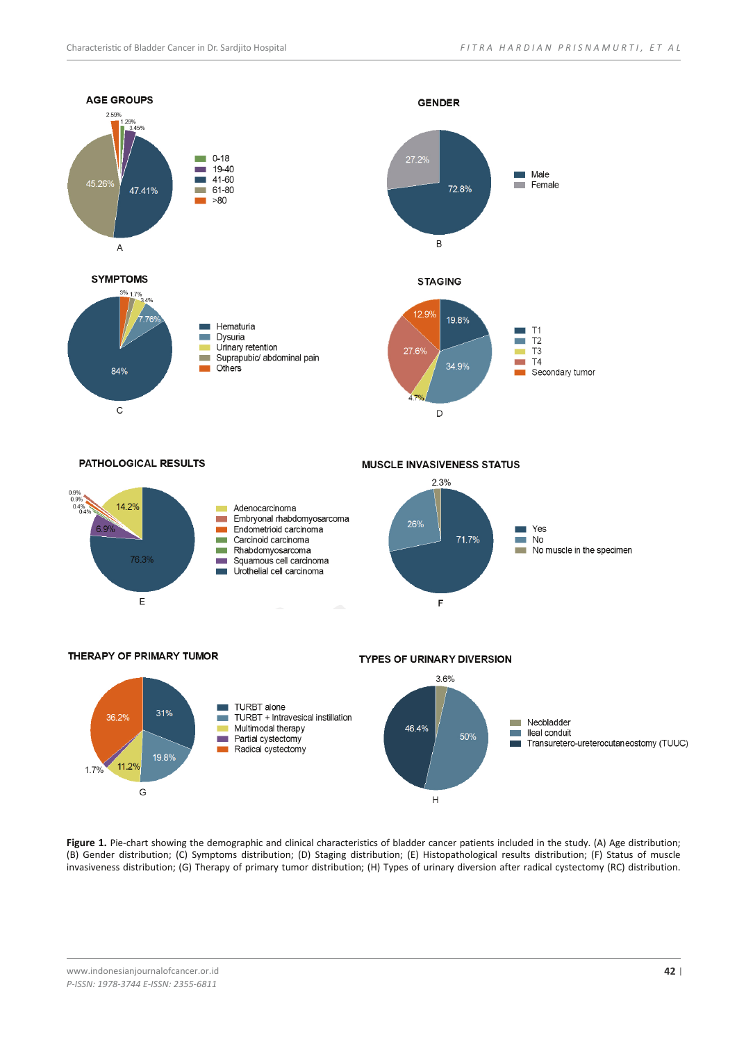

**Figure 1.** Pie-chart showing the demographic and clinical characteristics of bladder cancer patients included in the study. (A) Age distribution; (B) Gender distribution; (C) Symptoms distribution; (D) Staging distribution; (E) Histopathological results distribution; (F) Status of muscle invasiveness distribution; (G) Therapy of primary tumor distribution; (H) Types of urinary diversion after radical cystectomy (RC) distribution.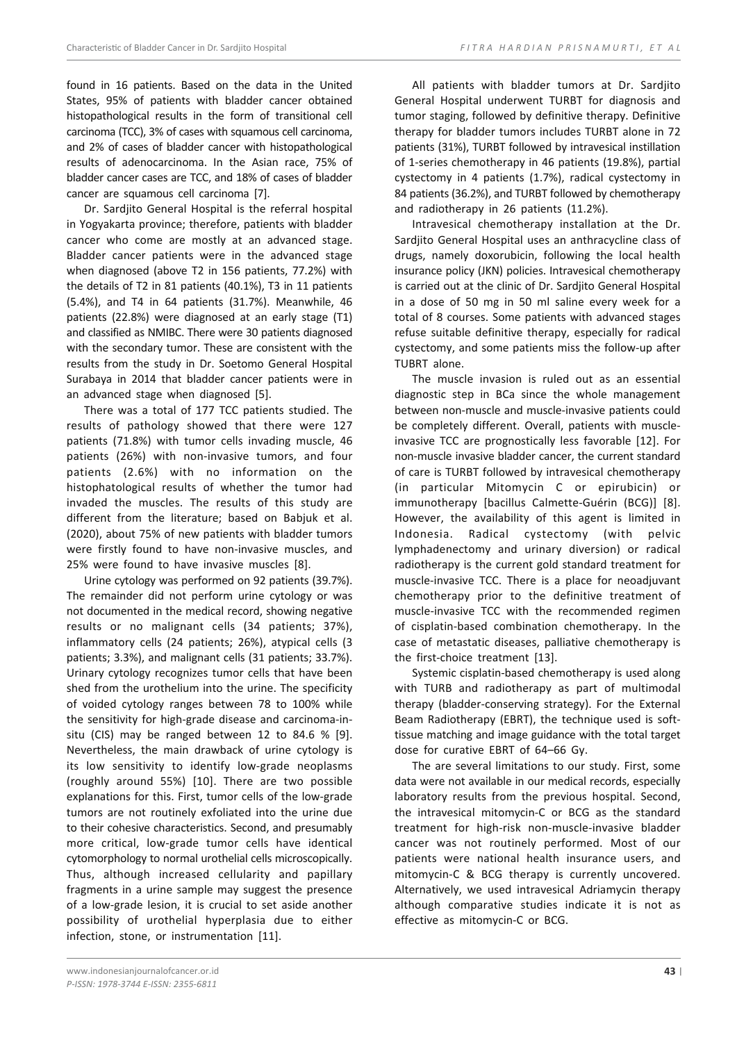found in 16 patients. Based on the data in the United States, 95% of patients with bladder cancer obtained histopathological results in the form of transitional cell carcinoma (TCC), 3% of cases with squamous cell carcinoma, and 2% of cases of bladder cancer with histopathological results of adenocarcinoma. In the Asian race, 75% of bladder cancer cases are TCC, and 18% of cases of bladder cancer are squamous cell carcinoma [7].

Dr. Sardjito General Hospital is the referral hospital in Yogyakarta province; therefore, patients with bladder cancer who come are mostly at an advanced stage. Bladder cancer patients were in the advanced stage when diagnosed (above T2 in 156 patients, 77.2%) with the details of T2 in 81 patients (40.1%), T3 in 11 patients (5.4%), and T4 in 64 patients (31.7%). Meanwhile, 46 patients (22.8%) were diagnosed at an early stage (T1) and classified as NMIBC. There were 30 patients diagnosed with the secondary tumor. These are consistent with the results from the study in Dr. Soetomo General Hospital Surabaya in 2014 that bladder cancer patients were in an advanced stage when diagnosed [5].

There was a total of 177 TCC patients studied. The results of pathology showed that there were 127 patients (71.8%) with tumor cells invading muscle, 46 patients (26%) with non-invasive tumors, and four patients (2.6%) with no information on the histophatological results of whether the tumor had invaded the muscles. The results of this study are different from the literature; based on Babjuk et al. (2020), about 75% of new patients with bladder tumors were firstly found to have non-invasive muscles, and 25% were found to have invasive muscles [8].

Urine cytology was performed on 92 patients (39.7%). The remainder did not perform urine cytology or was not documented in the medical record, showing negative results or no malignant cells (34 patients; 37%), inflammatory cells (24 patients; 26%), atypical cells (3 patients; 3.3%), and malignant cells (31 patients; 33.7%). Urinary cytology recognizes tumor cells that have been shed from the urothelium into the urine. The specificity of voided cytology ranges between 78 to 100% while the sensitivity for high-grade disease and carcinoma-insitu (CIS) may be ranged between 12 to 84.6 % [9]. Nevertheless, the main drawback of urine cytology is its low sensitivity to identify low-grade neoplasms (roughly around 55%) [10]. There are two possible explanations for this. First, tumor cells of the low-grade tumors are not routinely exfoliated into the urine due to their cohesive characteristics. Second, and presumably more critical, low-grade tumor cells have identical cytomorphology to normal urothelial cells microscopically. Thus, although increased cellularity and papillary fragments in a urine sample may suggest the presence of a low-grade lesion, it is crucial to set aside another possibility of urothelial hyperplasia due to either infection, stone, or instrumentation [11].

All patients with bladder tumors at Dr. Sardjito General Hospital underwent TURBT for diagnosis and tumor staging, followed by definitive therapy. Definitive therapy for bladder tumors includes TURBT alone in 72 patients (31%), TURBT followed by intravesical instillation of 1-series chemotherapy in 46 patients (19.8%), partial cystectomy in 4 patients (1.7%), radical cystectomy in 84 patients (36.2%), and TURBT followed by chemotherapy and radiotherapy in 26 patients (11.2%).

Intravesical chemotherapy installation at the Dr. Sardjito General Hospital uses an anthracycline class of drugs, namely doxorubicin, following the local health insurance policy (JKN) policies. Intravesical chemotherapy is carried out at the clinic of Dr. Sardjito General Hospital in a dose of 50 mg in 50 ml saline every week for a total of 8 courses. Some patients with advanced stages refuse suitable definitive therapy, especially for radical cystectomy, and some patients miss the follow-up after TUBRT alone.

The muscle invasion is ruled out as an essential diagnostic step in BCa since the whole management between non-muscle and muscle-invasive patients could be completely different. Overall, patients with muscleinvasive TCC are prognostically less favorable [12]. For non-muscle invasive bladder cancer, the current standard of care is TURBT followed by intravesical chemotherapy (in particular Mitomycin C or epirubicin) or immunotherapy [bacillus Calmette-Guérin (BCG)] [8]. However, the availability of this agent is limited in Indonesia. Radical cystectomy (with pelvic lymphadenectomy and urinary diversion) or radical radiotherapy is the current gold standard treatment for muscle-invasive TCC. There is a place for neoadjuvant chemotherapy prior to the definitive treatment of muscle-invasive TCC with the recommended regimen of cisplatin-based combination chemotherapy. In the case of metastatic diseases, palliative chemotherapy is the first-choice treatment [13].

Systemic cisplatin-based chemotherapy is used along with TURB and radiotherapy as part of multimodal therapy (bladder-conserving strategy). For the External Beam Radiotherapy (EBRT), the technique used is softtissue matching and image guidance with the total target dose for curative EBRT of 64–66 Gy.

The are several limitations to our study. First, some data were not available in our medical records, especially laboratory results from the previous hospital. Second, the intravesical mitomycin-C or BCG as the standard treatment for high-risk non-muscle-invasive bladder cancer was not routinely performed. Most of our patients were national health insurance users, and mitomycin-C & BCG therapy is currently uncovered. Alternatively, we used intravesical Adriamycin therapy although comparative studies indicate it is not as effective as mitomycin-C or BCG.